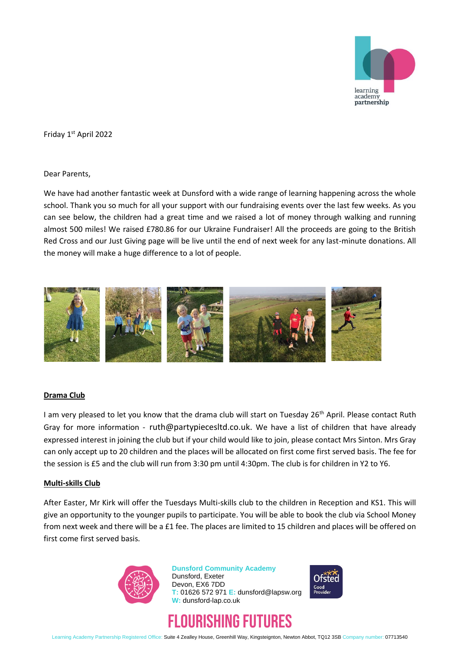

Friday 1st April 2022

Dear Parents,

We have had another fantastic week at Dunsford with a wide range of learning happening across the whole school. Thank you so much for all your support with our fundraising events over the last few weeks. As you can see below, the children had a great time and we raised a lot of money through walking and running almost 500 miles! We raised £780.86 for our Ukraine Fundraiser! All the proceeds are going to the British Red Cross and our Just Giving page will be live until the end of next week for any last-minute donations. All the money will make a huge difference to a lot of people.



### **Drama Club**

I am very pleased to let you know that the drama club will start on Tuesday 26<sup>th</sup> April. Please contact Ruth Gray for more information - ruth@partypiecesltd.co.uk. We have a list of children that have already expressed interest in joining the club but if your child would like to join, please contact Mrs Sinton. Mrs Gray can only accept up to 20 children and the places will be allocated on first come first served basis. The fee for the session is £5 and the club will run from 3:30 pm until 4:30pm. The club is for children in Y2 to Y6.

### **Multi-skills Club**

After Easter, Mr Kirk will offer the Tuesdays Multi-skills club to the children in Reception and KS1. This will give an opportunity to the younger pupils to participate. You will be able to book the club via School Money from next week and there will be a £1 fee. The places are limited to 15 children and places will be offered on first come first served basis.



**Dunsford Community Academy** Dunsford, Exeter Devon, EX6 7DD **T:** 01626 572 971 **E:** dunsford@lapsw.org **W:** dunsford-lap.co.uk





Learning Academy Partnership Registered Office: Suite 4 Zealley House, Greenhill Way, Kingsteignton, Newton Abbot, TQ12 3SB Company number: 07713540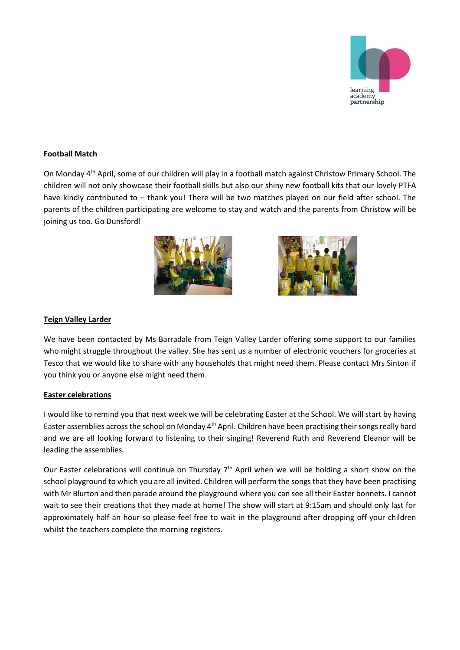

# **Football Match**

On Monday 4th April, some of our children will play in a football match against Christow Primary School. The children will not only showcase their football skills but also our shiny new football kits that our lovely PTFA have kindly contributed to - thank you! There will be two matches played on our field after school. The parents of the children participating are welcome to stay and watch and the parents from Christow will be joining us too. Go Dunsford!





## **Teign Valley Larder**

We have been contacted by Ms Barradale from Teign Valley Larder offering some support to our families who might struggle throughout the valley. She has sent us a number of electronic vouchers for groceries at Tesco that we would like to share with any households that might need them. Please contact Mrs Sinton if you think you or anyone else might need them.

### **Easter celebrations**

I would like to remind you that next week we will be celebrating Easter at the School. We will start by having Easter assemblies across the school on Monday 4th April. Children have been practising their songs really hard and we are all looking forward to listening to their singing! Reverend Ruth and Reverend Eleanor will be leading the assemblies.

Our Easter celebrations will continue on Thursday 7<sup>th</sup> April when we will be holding a short show on the school playground to which you are all invited. Children will perform the songs that they have been practising with Mr Blurton and then parade around the playground where you can see all their Easter bonnets. I cannot wait to see their creations that they made at home! The show will start at 9:15am and should only last for approximately half an hour so please feel free to wait in the playground after dropping off your children whilst the teachers complete the morning registers.